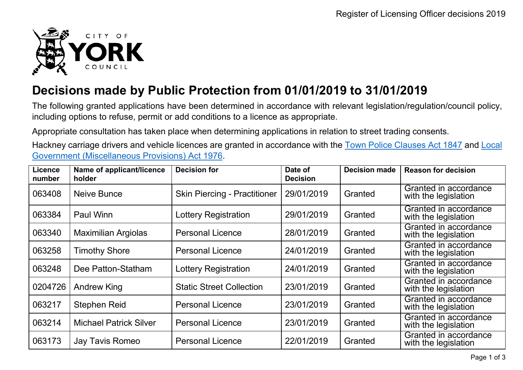

## **Decisions made by Public Protection from 01/01/2019 to 31/01/2019**

The following granted applications have been determined in accordance with relevant legislation/regulation/council policy, including options to refuse, permit or add conditions to a licence as appropriate.

Appropriate consultation has taken place when determining applications in relation to street trading consents.

Hackney carriage drivers and vehicle licences are granted in accordance with the Town Police [Clauses](http://www.legislation.gov.uk/ukpga/Vict/10-11/89) Act 1847 and [Local](http://www.legislation.gov.uk/ukpga/1976/57) [Government \(Miscellaneous Provisions\) Act 1976.](http://www.legislation.gov.uk/ukpga/1976/57)

| <b>Licence</b><br>number | Name of applicant/licence<br>holder | <b>Decision for</b>                 | Date of<br><b>Decision</b> | <b>Decision made</b> | <b>Reason for decision</b>                    |
|--------------------------|-------------------------------------|-------------------------------------|----------------------------|----------------------|-----------------------------------------------|
| 063408                   | Neive Bunce                         | <b>Skin Piercing - Practitioner</b> | 29/01/2019                 | Granted              | Granted in accordance<br>with the legislation |
| 063384                   | Paul Winn                           | <b>Lottery Registration</b>         | 29/01/2019                 | Granted              | Granted in accordance<br>with the legislation |
| 063340                   | <b>Maximilian Argiolas</b>          | <b>Personal Licence</b>             | 28/01/2019                 | Granted              | Granted in accordance<br>with the legislation |
| 063258                   | <b>Timothy Shore</b>                | <b>Personal Licence</b>             | 24/01/2019                 | Granted              | Granted in accordance<br>with the legislation |
| 063248                   | Dee Patton-Statham                  | <b>Lottery Registration</b>         | 24/01/2019                 | Granted              | Granted in accordance<br>with the legislation |
| 0204726                  | <b>Andrew King</b>                  | <b>Static Street Collection</b>     | 23/01/2019                 | Granted              | Granted in accordance<br>with the legislation |
| 063217                   | <b>Stephen Reid</b>                 | <b>Personal Licence</b>             | 23/01/2019                 | Granted              | Granted in accordance<br>with the legislation |
| 063214                   | <b>Michael Patrick Silver</b>       | <b>Personal Licence</b>             | 23/01/2019                 | Granted              | Granted in accordance<br>with the legislation |
| 063173                   | Jay Tavis Romeo                     | <b>Personal Licence</b>             | 22/01/2019                 | Granted              | Granted in accordance<br>with the legislation |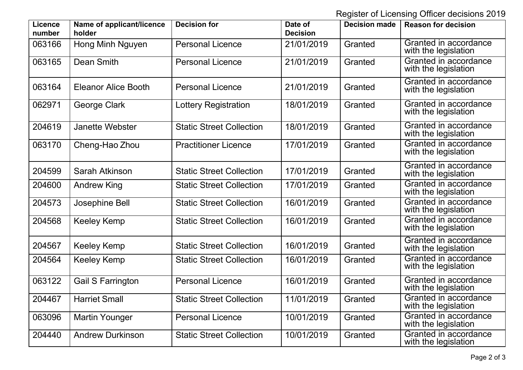Register of Licensing Officer decisions 2019

| Licence<br>number | Name of applicant/licence<br>holder | <b>Decision for</b>             | Date of<br><b>Decision</b> | <b>Decision made</b> | <b>Reason for decision</b>                    |
|-------------------|-------------------------------------|---------------------------------|----------------------------|----------------------|-----------------------------------------------|
| 063166            | Hong Minh Nguyen                    | <b>Personal Licence</b>         | 21/01/2019                 | Granted              | Granted in accordance<br>with the legislation |
| 063165            | Dean Smith                          | <b>Personal Licence</b>         | 21/01/2019                 | Granted              | Granted in accordance<br>with the legislation |
| 063164            | <b>Eleanor Alice Booth</b>          | <b>Personal Licence</b>         | 21/01/2019                 | Granted              | Granted in accordance<br>with the legislation |
| 062971            | George Clark                        | Lottery Registration            | 18/01/2019                 | Granted              | Granted in accordance<br>with the legislation |
| 204619            | <b>Janette Webster</b>              | <b>Static Street Collection</b> | 18/01/2019                 | Granted              | Granted in accordance<br>with the legislation |
| 063170            | Cheng-Hao Zhou                      | <b>Practitioner Licence</b>     | 17/01/2019                 | Granted              | Granted in accordance<br>with the legislation |
| 204599            | Sarah Atkinson                      | <b>Static Street Collection</b> | 17/01/2019                 | Granted              | Granted in accordance<br>with the legislation |
| 204600            | <b>Andrew King</b>                  | <b>Static Street Collection</b> | 17/01/2019                 | Granted              | Granted in accordance<br>with the legislation |
| 204573            | Josephine Bell                      | <b>Static Street Collection</b> | 16/01/2019                 | Granted              | Granted in accordance<br>with the legislation |
| 204568            | Keeley Kemp                         | <b>Static Street Collection</b> | 16/01/2019                 | Granted              | Granted in accordance<br>with the legislation |
| 204567            | Keeley Kemp                         | <b>Static Street Collection</b> | 16/01/2019                 | Granted              | Granted in accordance<br>with the legislation |
| 204564            | <b>Keeley Kemp</b>                  | <b>Static Street Collection</b> | 16/01/2019                 | Granted              | Granted in accordance<br>with the legislation |
| 063122            | Gail S Farrington                   | <b>Personal Licence</b>         | 16/01/2019                 | Granted              | Granted in accordance<br>with the legislation |
| 204467            | <b>Harriet Small</b>                | <b>Static Street Collection</b> | 11/01/2019                 | Granted              | Granted in accordance<br>with the legislation |
| 063096            | <b>Martin Younger</b>               | <b>Personal Licence</b>         | 10/01/2019                 | Granted              | Granted in accordance<br>with the legislation |
| 204440            | <b>Andrew Durkinson</b>             | <b>Static Street Collection</b> | 10/01/2019                 | Granted              | Granted in accordance<br>with the legislation |